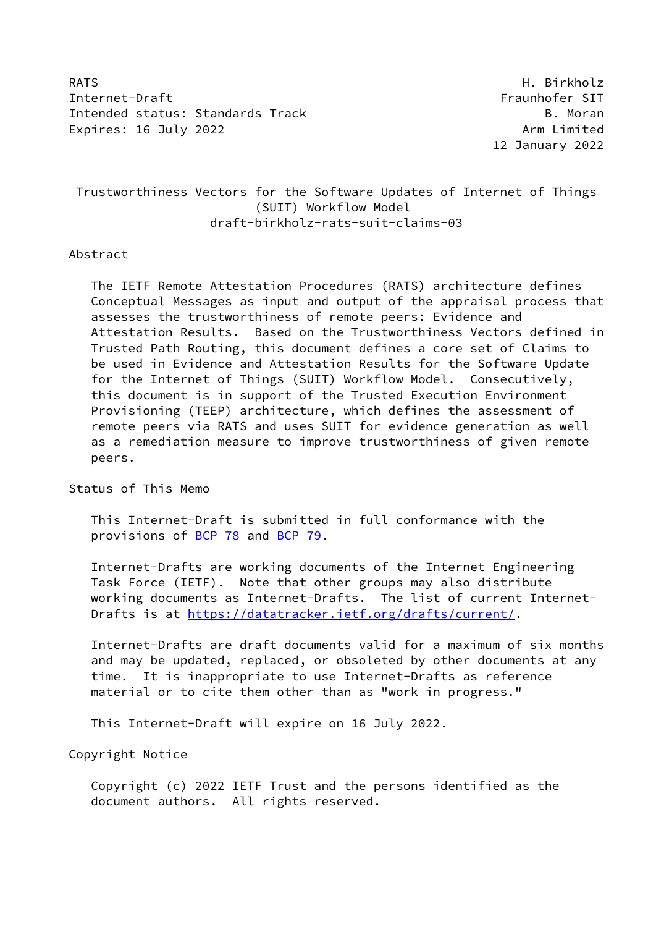RATS **H. Birkholz** Internet-Draft Fraunhofer SIT Intended status: Standards Track B. Moran Expires: 16 July 2022 **Arm Limited** 

12 January 2022

# Trustworthiness Vectors for the Software Updates of Internet of Things (SUIT) Workflow Model draft-birkholz-rats-suit-claims-03

### Abstract

 The IETF Remote Attestation Procedures (RATS) architecture defines Conceptual Messages as input and output of the appraisal process that assesses the trustworthiness of remote peers: Evidence and Attestation Results. Based on the Trustworthiness Vectors defined in Trusted Path Routing, this document defines a core set of Claims to be used in Evidence and Attestation Results for the Software Update for the Internet of Things (SUIT) Workflow Model. Consecutively, this document is in support of the Trusted Execution Environment Provisioning (TEEP) architecture, which defines the assessment of remote peers via RATS and uses SUIT for evidence generation as well as a remediation measure to improve trustworthiness of given remote peers.

### Status of This Memo

 This Internet-Draft is submitted in full conformance with the provisions of [BCP 78](https://datatracker.ietf.org/doc/pdf/bcp78) and [BCP 79](https://datatracker.ietf.org/doc/pdf/bcp79).

 Internet-Drafts are working documents of the Internet Engineering Task Force (IETF). Note that other groups may also distribute working documents as Internet-Drafts. The list of current Internet- Drafts is at<https://datatracker.ietf.org/drafts/current/>.

 Internet-Drafts are draft documents valid for a maximum of six months and may be updated, replaced, or obsoleted by other documents at any time. It is inappropriate to use Internet-Drafts as reference material or to cite them other than as "work in progress."

This Internet-Draft will expire on 16 July 2022.

Copyright Notice

 Copyright (c) 2022 IETF Trust and the persons identified as the document authors. All rights reserved.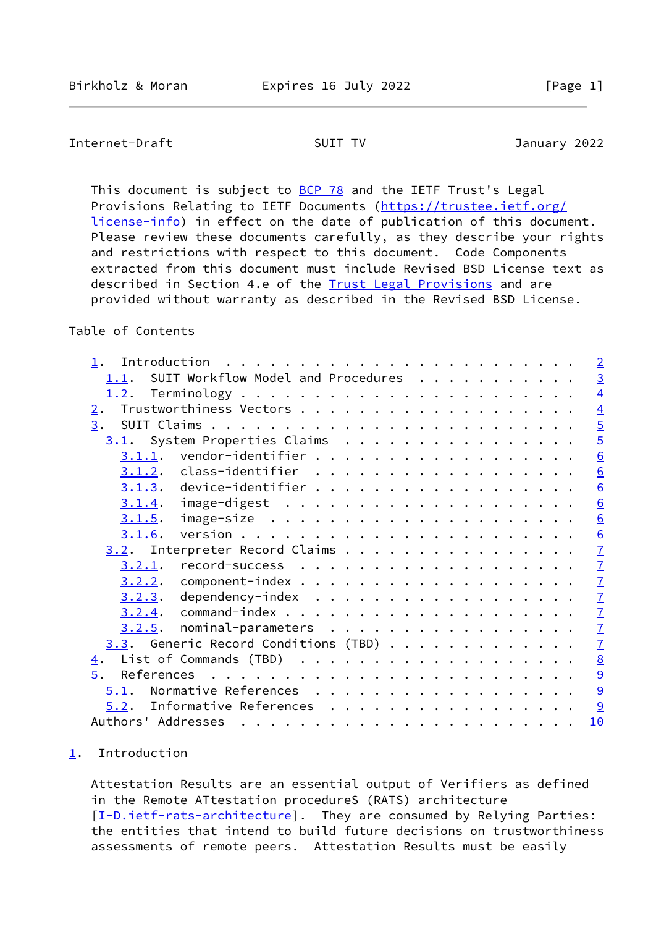## <span id="page-1-1"></span>Internet-Draft SUIT TV January 2022

This document is subject to [BCP 78](https://datatracker.ietf.org/doc/pdf/bcp78) and the IETF Trust's Legal Provisions Relating to IETF Documents ([https://trustee.ietf.org/](https://trustee.ietf.org/license-info) [license-info](https://trustee.ietf.org/license-info)) in effect on the date of publication of this document. Please review these documents carefully, as they describe your rights and restrictions with respect to this document. Code Components extracted from this document must include Revised BSD License text as described in Section 4.e of the **Trust Legal Provisions** and are provided without warranty as described in the Revised BSD License.

## Table of Contents

| $\mathbf 1$ .      |           | Introduction                                                                    |  |  |   |  |  |  |  |  |  | $\overline{2}$            |
|--------------------|-----------|---------------------------------------------------------------------------------|--|--|---|--|--|--|--|--|--|---------------------------|
| 1.1.               |           | SUIT Workflow Model and Procedures                                              |  |  |   |  |  |  |  |  |  | $\overline{3}$            |
|                    |           |                                                                                 |  |  |   |  |  |  |  |  |  | $\overline{4}$            |
| $\overline{2}$ .   |           |                                                                                 |  |  |   |  |  |  |  |  |  | $\overline{4}$            |
| 3.                 |           |                                                                                 |  |  |   |  |  |  |  |  |  | $\overline{5}$            |
|                    |           | 3.1. System Properties Claims                                                   |  |  |   |  |  |  |  |  |  | $\overline{5}$            |
|                    | 3.1.1.    | vendor-identifier                                                               |  |  |   |  |  |  |  |  |  | $\overline{6}$            |
|                    | 3.1.2.    | class-identifier                                                                |  |  |   |  |  |  |  |  |  | $\underline{6}$           |
|                    | 3.1.3.    | device-identifier $\dots$ , $\dots$ , $\dots$ , $\dots$ , $\dots$ , $\dots$ , . |  |  |   |  |  |  |  |  |  | $\underline{6}$           |
|                    | 3.1.4.    |                                                                                 |  |  |   |  |  |  |  |  |  | 6                         |
|                    | 3.1.5.    |                                                                                 |  |  |   |  |  |  |  |  |  | 6                         |
|                    | 3.1.6.    |                                                                                 |  |  |   |  |  |  |  |  |  | $\underline{6}$           |
|                    |           | 3.2. Interpreter Record Claims                                                  |  |  |   |  |  |  |  |  |  | $\overline{1}$            |
|                    | $3.2.1$ . |                                                                                 |  |  |   |  |  |  |  |  |  | $\frac{7}{7}$             |
|                    | 3.2.2.    |                                                                                 |  |  |   |  |  |  |  |  |  |                           |
|                    | 3.2.3.    | dependency-index                                                                |  |  |   |  |  |  |  |  |  |                           |
|                    | 3.2.4.    |                                                                                 |  |  |   |  |  |  |  |  |  | $\underline{\mathcal{I}}$ |
|                    | 3.2.5.    | nominal-parameters                                                              |  |  |   |  |  |  |  |  |  | $\underline{\mathcal{I}}$ |
|                    |           | $3.3.$ Generic Record Conditions (TBD)                                          |  |  |   |  |  |  |  |  |  | $\overline{1}$            |
| <u>4</u> .         |           |                                                                                 |  |  |   |  |  |  |  |  |  | $\underline{8}$           |
| $\overline{5}$ .   |           |                                                                                 |  |  |   |  |  |  |  |  |  | $rac{9}{9}$               |
| 5.1.               |           | Normative References                                                            |  |  |   |  |  |  |  |  |  |                           |
| 5.2.               |           | Informative References                                                          |  |  | . |  |  |  |  |  |  | 9                         |
| Authors' Addresses |           |                                                                                 |  |  |   |  |  |  |  |  |  | 10                        |

### <span id="page-1-0"></span>[1](#page-1-0). Introduction

 Attestation Results are an essential output of Verifiers as defined in the Remote ATtestation procedureS (RATS) architecture [\[I-D.ietf-rats-architecture\]](#page-9-4). They are consumed by Relying Parties: the entities that intend to build future decisions on trustworthiness assessments of remote peers. Attestation Results must be easily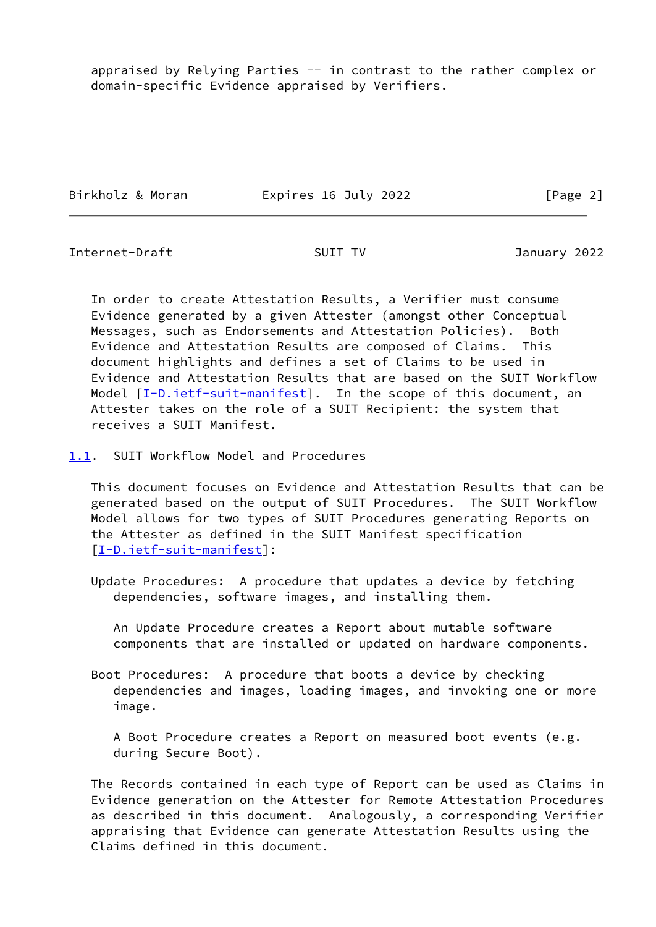appraised by Relying Parties -- in contrast to the rather complex or domain-specific Evidence appraised by Verifiers.

Birkholz & Moran Expires 16 July 2022 [Page 2]

<span id="page-2-1"></span>Internet-Draft SUIT TV January 2022

 In order to create Attestation Results, a Verifier must consume Evidence generated by a given Attester (amongst other Conceptual Messages, such as Endorsements and Attestation Policies). Both Evidence and Attestation Results are composed of Claims. This document highlights and defines a set of Claims to be used in Evidence and Attestation Results that are based on the SUIT Workflow Model [[I-D.ietf-suit-manifest](#page-10-1)]. In the scope of this document, an Attester takes on the role of a SUIT Recipient: the system that receives a SUIT Manifest.

<span id="page-2-0"></span>[1.1](#page-2-0). SUIT Workflow Model and Procedures

 This document focuses on Evidence and Attestation Results that can be generated based on the output of SUIT Procedures. The SUIT Workflow Model allows for two types of SUIT Procedures generating Reports on the Attester as defined in the SUIT Manifest specification [\[I-D.ietf-suit-manifest](#page-10-1)]:

 Update Procedures: A procedure that updates a device by fetching dependencies, software images, and installing them.

 An Update Procedure creates a Report about mutable software components that are installed or updated on hardware components.

 Boot Procedures: A procedure that boots a device by checking dependencies and images, loading images, and invoking one or more image.

 A Boot Procedure creates a Report on measured boot events (e.g. during Secure Boot).

 The Records contained in each type of Report can be used as Claims in Evidence generation on the Attester for Remote Attestation Procedures as described in this document. Analogously, a corresponding Verifier appraising that Evidence can generate Attestation Results using the Claims defined in this document.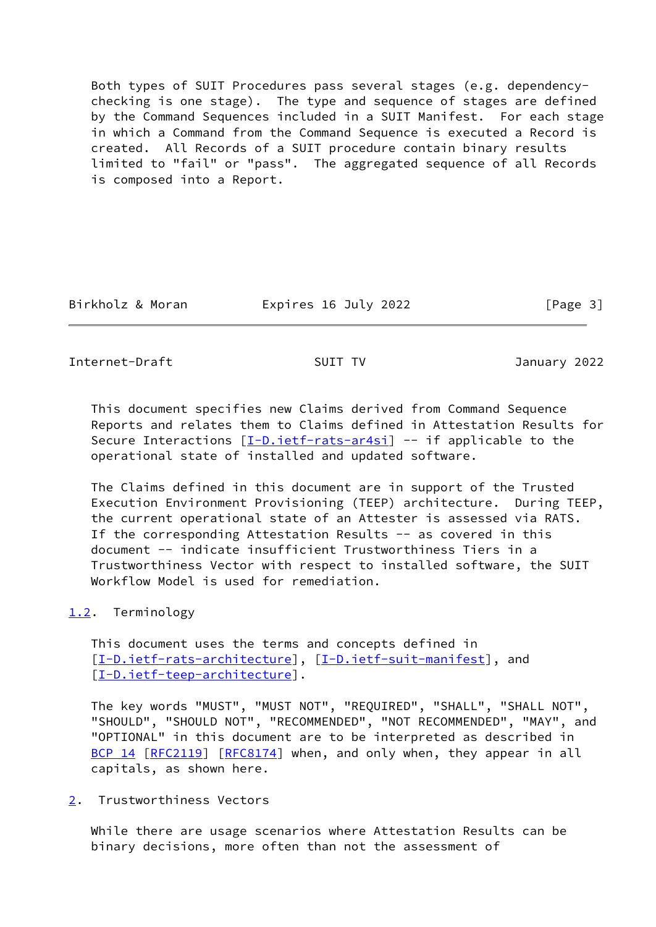Both types of SUIT Procedures pass several stages (e.g. dependency checking is one stage). The type and sequence of stages are defined by the Command Sequences included in a SUIT Manifest. For each stage in which a Command from the Command Sequence is executed a Record is created. All Records of a SUIT procedure contain binary results limited to "fail" or "pass". The aggregated sequence of all Records is composed into a Report.

Birkholz & Moran **Expires 16 July 2022** [Page 3]

<span id="page-3-1"></span>Internet-Draft SUIT TV January 2022

 This document specifies new Claims derived from Command Sequence Reports and relates them to Claims defined in Attestation Results for Secure Interactions [\[I-D.ietf-rats-ar4si](#page-9-5)] -- if applicable to the operational state of installed and updated software.

 The Claims defined in this document are in support of the Trusted Execution Environment Provisioning (TEEP) architecture. During TEEP, the current operational state of an Attester is assessed via RATS. If the corresponding Attestation Results -- as covered in this document -- indicate insufficient Trustworthiness Tiers in a Trustworthiness Vector with respect to installed software, the SUIT Workflow Model is used for remediation.

## <span id="page-3-0"></span>[1.2](#page-3-0). Terminology

 This document uses the terms and concepts defined in [\[I-D.ietf-rats-architecture\]](#page-9-4), [[I-D.ietf-suit-manifest](#page-10-1)], and [\[I-D.ietf-teep-architecture\]](#page-10-2).

 The key words "MUST", "MUST NOT", "REQUIRED", "SHALL", "SHALL NOT", "SHOULD", "SHOULD NOT", "RECOMMENDED", "NOT RECOMMENDED", "MAY", and "OPTIONAL" in this document are to be interpreted as described in [BCP 14](https://datatracker.ietf.org/doc/pdf/bcp14) [\[RFC2119](https://datatracker.ietf.org/doc/pdf/rfc2119)] [\[RFC8174](https://datatracker.ietf.org/doc/pdf/rfc8174)] when, and only when, they appear in all capitals, as shown here.

<span id="page-3-2"></span>[2](#page-3-2). Trustworthiness Vectors

 While there are usage scenarios where Attestation Results can be binary decisions, more often than not the assessment of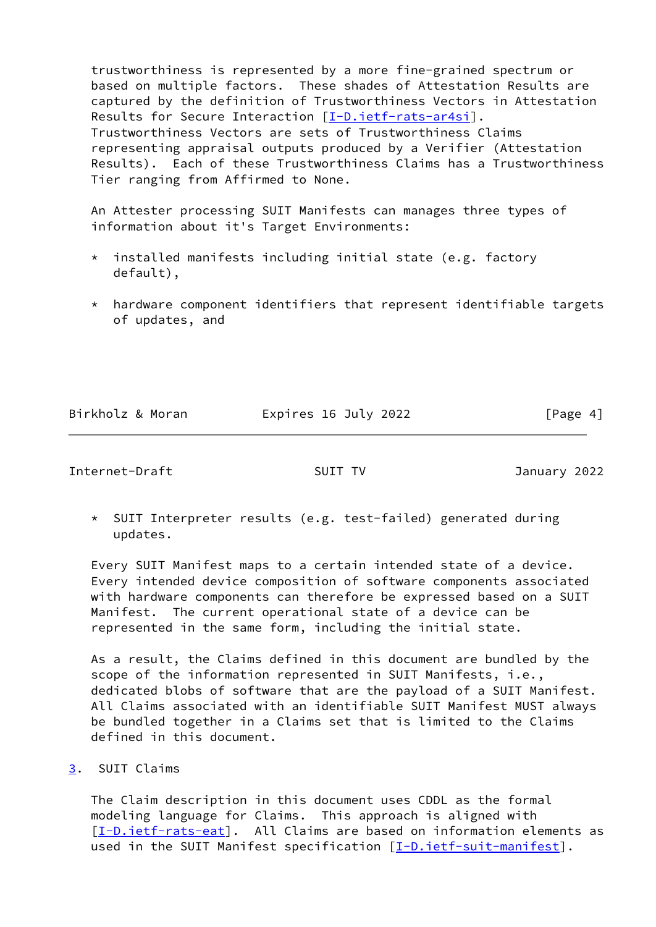trustworthiness is represented by a more fine-grained spectrum or based on multiple factors. These shades of Attestation Results are captured by the definition of Trustworthiness Vectors in Attestation Results for Secure Interaction [\[I-D.ietf-rats-ar4si](#page-9-5)]. Trustworthiness Vectors are sets of Trustworthiness Claims representing appraisal outputs produced by a Verifier (Attestation Results). Each of these Trustworthiness Claims has a Trustworthiness Tier ranging from Affirmed to None.

 An Attester processing SUIT Manifests can manages three types of information about it's Target Environments:

- \* installed manifests including initial state (e.g. factory default),
- \* hardware component identifiers that represent identifiable targets of updates, and

Birkholz & Moran **Expires 16 July 2022** [Page 4]

<span id="page-4-1"></span>Internet-Draft SUIT TV January 2022

 \* SUIT Interpreter results (e.g. test-failed) generated during updates.

 Every SUIT Manifest maps to a certain intended state of a device. Every intended device composition of software components associated with hardware components can therefore be expressed based on a SUIT Manifest. The current operational state of a device can be represented in the same form, including the initial state.

 As a result, the Claims defined in this document are bundled by the scope of the information represented in SUIT Manifests, i.e., dedicated blobs of software that are the payload of a SUIT Manifest. All Claims associated with an identifiable SUIT Manifest MUST always be bundled together in a Claims set that is limited to the Claims defined in this document.

<span id="page-4-0"></span>[3](#page-4-0). SUIT Claims

 The Claim description in this document uses CDDL as the formal modeling language for Claims. This approach is aligned with [\[I-D.ietf-rats-eat](#page-10-3)]. All Claims are based on information elements as used in the SUIT Manifest specification [\[I-D.ietf-suit-manifest](#page-10-1)].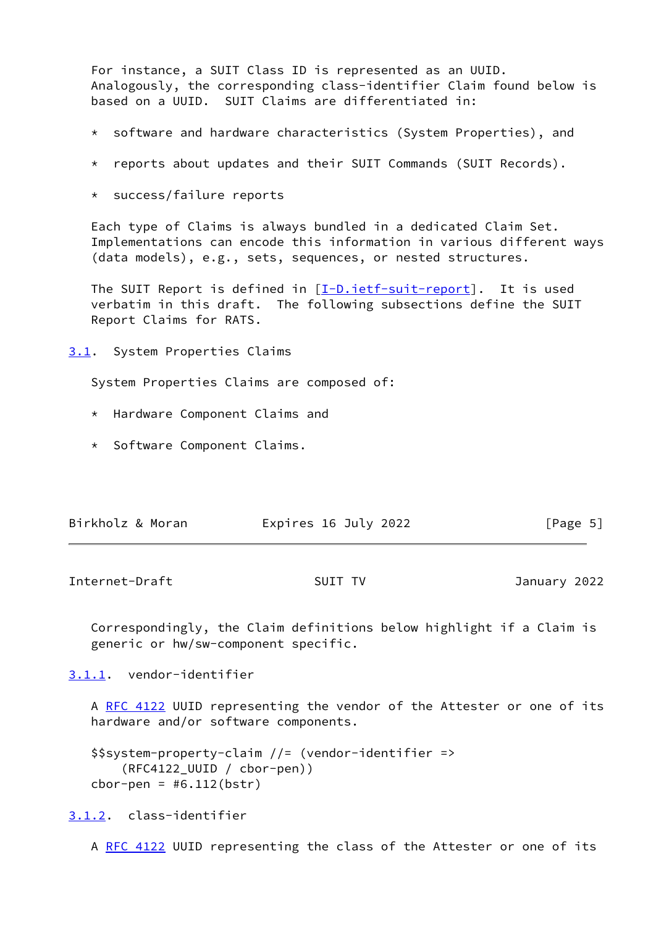For instance, a SUIT Class ID is represented as an UUID. Analogously, the corresponding class-identifier Claim found below is based on a UUID. SUIT Claims are differentiated in:

- \* software and hardware characteristics (System Properties), and
- \* reports about updates and their SUIT Commands (SUIT Records).
- \* success/failure reports

 Each type of Claims is always bundled in a dedicated Claim Set. Implementations can encode this information in various different ways (data models), e.g., sets, sequences, or nested structures.

The SUIT Report is defined in  $[I-D.iett-suit-report]$ . It is used verbatim in this draft. The following subsections define the SUIT Report Claims for RATS.

<span id="page-5-0"></span>[3.1](#page-5-0). System Properties Claims

System Properties Claims are composed of:

- \* Hardware Component Claims and
- \* Software Component Claims.

| Birkholz & Moran<br>Expires 16 July 2022<br>[Page 5] |
|------------------------------------------------------|
|------------------------------------------------------|

<span id="page-5-2"></span>Internet-Draft SUIT TV January 2022

 Correspondingly, the Claim definitions below highlight if a Claim is generic or hw/sw-component specific.

<span id="page-5-1"></span>[3.1.1](#page-5-1). vendor-identifier

A [RFC 4122](https://datatracker.ietf.org/doc/pdf/rfc4122) UUID representing the vendor of the Attester or one of its hardware and/or software components.

```
 $$system-property-claim //= (vendor-identifier =>
     (RFC4122_UUID / cbor-pen))
cbor-pen = #6.112(bstr)
```
<span id="page-5-3"></span>[3.1.2](#page-5-3). class-identifier

A [RFC 4122](https://datatracker.ietf.org/doc/pdf/rfc4122) UUID representing the class of the Attester or one of its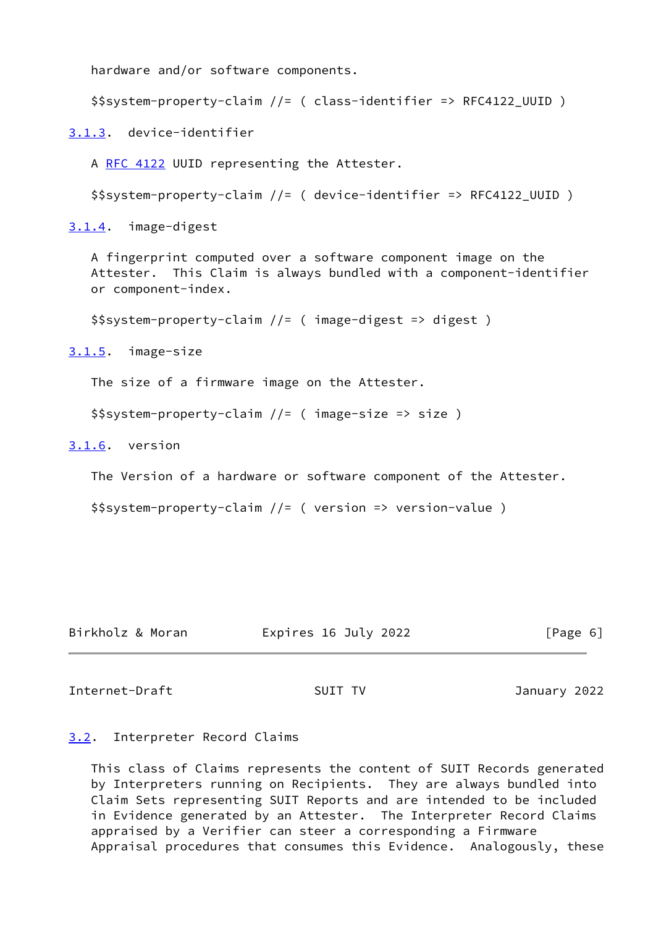hardware and/or software components.

```
 $$system-property-claim //= ( class-identifier => RFC4122_UUID )
```
<span id="page-6-0"></span>[3.1.3](#page-6-0). device-identifier

A [RFC 4122](https://datatracker.ietf.org/doc/pdf/rfc4122) UUID representing the Attester.

\$\$system-property-claim //= ( device-identifier => RFC4122\_UUID )

<span id="page-6-1"></span>[3.1.4](#page-6-1). image-digest

 A fingerprint computed over a software component image on the Attester. This Claim is always bundled with a component-identifier or component-index.

\$\$system-property-claim //= ( image-digest => digest )

<span id="page-6-2"></span>[3.1.5](#page-6-2). image-size

The size of a firmware image on the Attester.

```
 $$system-property-claim //= ( image-size => size )
```
<span id="page-6-3"></span>[3.1.6](#page-6-3). version

The Version of a hardware or software component of the Attester.

\$\$system-property-claim //= ( version => version-value )

| Birkholz & Moran<br>Expires 16 July 2022<br>[Page 6] |  |
|------------------------------------------------------|--|
|------------------------------------------------------|--|

<span id="page-6-5"></span>Internet-Draft SUIT TV January 2022

## <span id="page-6-4"></span>[3.2](#page-6-4). Interpreter Record Claims

 This class of Claims represents the content of SUIT Records generated by Interpreters running on Recipients. They are always bundled into Claim Sets representing SUIT Reports and are intended to be included in Evidence generated by an Attester. The Interpreter Record Claims appraised by a Verifier can steer a corresponding a Firmware Appraisal procedures that consumes this Evidence. Analogously, these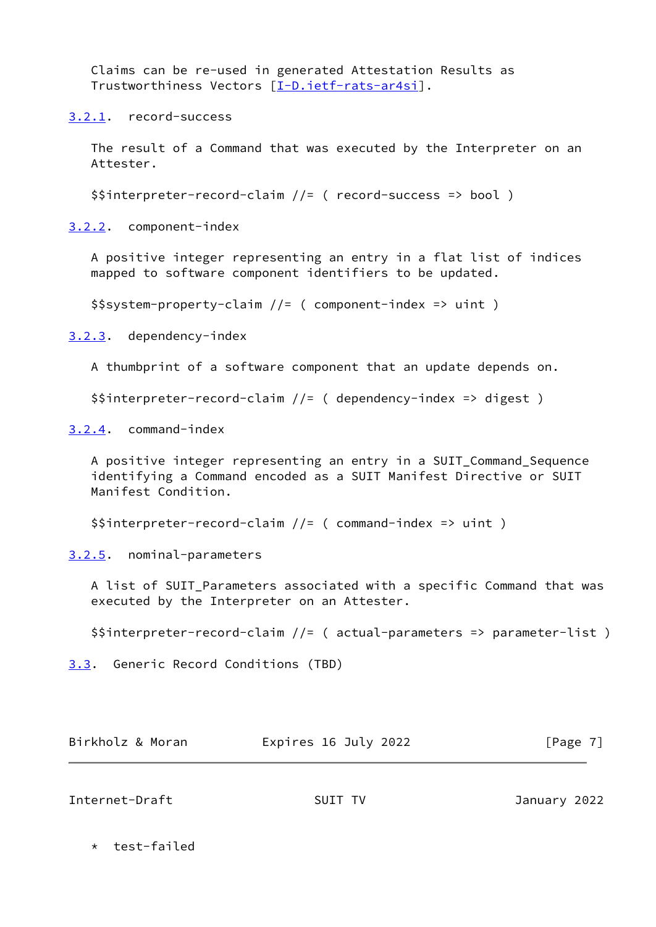Claims can be re-used in generated Attestation Results as Trustworthiness Vectors [\[I-D.ietf-rats-ar4si](#page-9-5)].

<span id="page-7-0"></span>[3.2.1](#page-7-0). record-success

 The result of a Command that was executed by the Interpreter on an Attester.

\$\$interpreter-record-claim //= ( record-success => bool )

<span id="page-7-1"></span>[3.2.2](#page-7-1). component-index

 A positive integer representing an entry in a flat list of indices mapped to software component identifiers to be updated.

\$\$system-property-claim //= ( component-index => uint )

<span id="page-7-2"></span>[3.2.3](#page-7-2). dependency-index

A thumbprint of a software component that an update depends on.

\$\$interpreter-record-claim //= ( dependency-index => digest )

<span id="page-7-3"></span>[3.2.4](#page-7-3). command-index

 A positive integer representing an entry in a SUIT\_Command\_Sequence identifying a Command encoded as a SUIT Manifest Directive or SUIT Manifest Condition.

\$\$interpreter-record-claim //= ( command-index => uint )

<span id="page-7-4"></span>[3.2.5](#page-7-4). nominal-parameters

 A list of SUIT\_Parameters associated with a specific Command that was executed by the Interpreter on an Attester.

\$\$interpreter-record-claim //= ( actual-parameters => parameter-list )

<span id="page-7-5"></span>[3.3](#page-7-5). Generic Record Conditions (TBD)

| Birkholz & Moran | Expires 16 July 2022 | [Page 7] |
|------------------|----------------------|----------|
|                  |                      |          |

<span id="page-7-6"></span>Internet-Draft SUIT TV January 2022

\* test-failed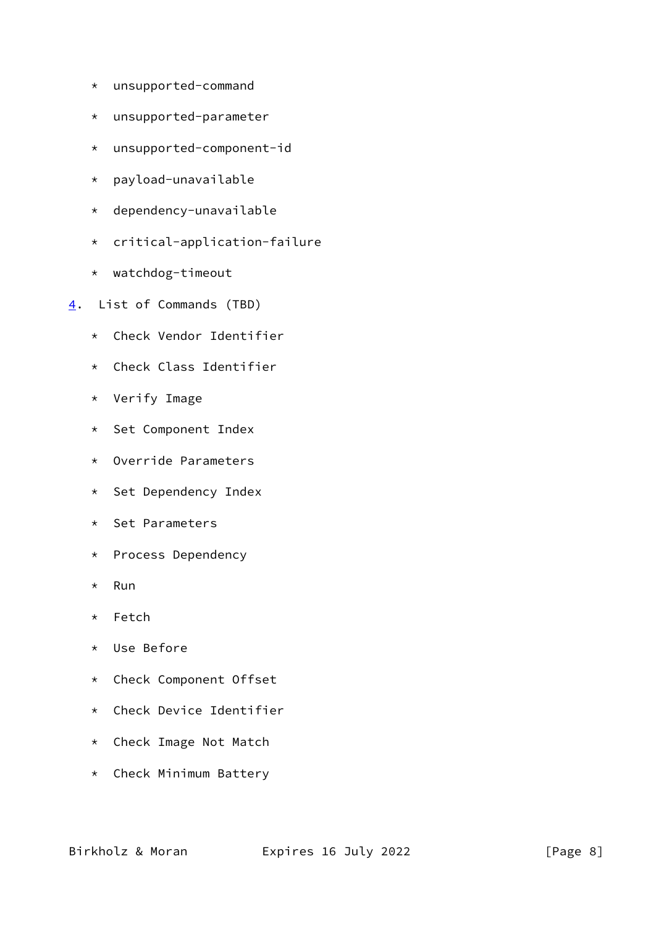- \* unsupported-command
- \* unsupported-parameter
- \* unsupported-component-id
- \* payload-unavailable
- \* dependency-unavailable
- \* critical-application-failure
- \* watchdog-timeout
- <span id="page-8-0"></span>[4](#page-8-0). List of Commands (TBD)
	- \* Check Vendor Identifier
	- \* Check Class Identifier
	- \* Verify Image
	- \* Set Component Index
	- \* Override Parameters
	- \* Set Dependency Index
	- \* Set Parameters
	- \* Process Dependency
	- \* Run
	- \* Fetch
	- \* Use Before
	- \* Check Component Offset
	- \* Check Device Identifier
	- \* Check Image Not Match
	- \* Check Minimum Battery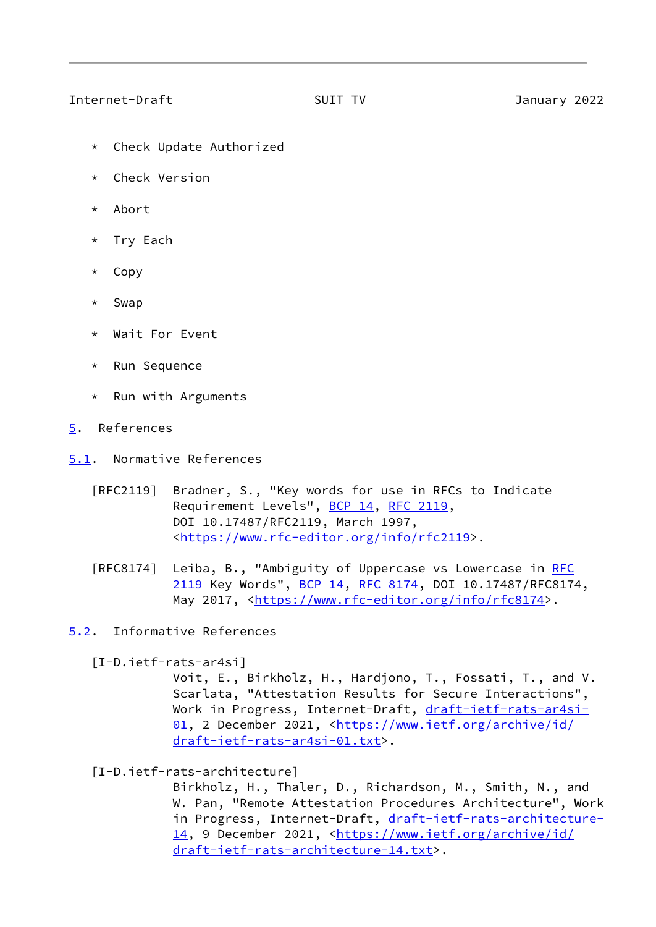## <span id="page-9-1"></span>Internet-Draft SUIT TV January 2022

- \* Check Update Authorized
- \* Check Version
- \* Abort
- Try Each
- \* Copy
- \* Swap
- \* Wait For Event
- \* Run Sequence
- \* Run with Arguments
- <span id="page-9-0"></span>[5](#page-9-0). References
- <span id="page-9-2"></span>[5.1](#page-9-2). Normative References
	- [RFC2119] Bradner, S., "Key words for use in RFCs to Indicate Requirement Levels", [BCP 14](https://datatracker.ietf.org/doc/pdf/bcp14), [RFC 2119](https://datatracker.ietf.org/doc/pdf/rfc2119), DOI 10.17487/RFC2119, March 1997, <[https://www.rfc-editor.org/info/rfc2119>](https://www.rfc-editor.org/info/rfc2119).
	- [RFC8174] Leiba, B., "Ambiguity of Uppercase vs Lowercase in [RFC](https://datatracker.ietf.org/doc/pdf/rfc2119) [2119](https://datatracker.ietf.org/doc/pdf/rfc2119) Key Words", [BCP 14](https://datatracker.ietf.org/doc/pdf/bcp14), [RFC 8174,](https://datatracker.ietf.org/doc/pdf/rfc8174) DOI 10.17487/RFC8174, May 2017, [<https://www.rfc-editor.org/info/rfc8174](https://www.rfc-editor.org/info/rfc8174)>.
- <span id="page-9-3"></span>[5.2](#page-9-3). Informative References

<span id="page-9-5"></span>[I-D.ietf-rats-ar4si]

 Voit, E., Birkholz, H., Hardjono, T., Fossati, T., and V. Scarlata, "Attestation Results for Secure Interactions", Work in Progress, Internet-Draft, [draft-ietf-rats-ar4si-](https://datatracker.ietf.org/doc/pdf/draft-ietf-rats-ar4si-01) [01,](https://datatracker.ietf.org/doc/pdf/draft-ietf-rats-ar4si-01) 2 December 2021, [<https://www.ietf.org/archive/id/](https://www.ietf.org/archive/id/draft-ietf-rats-ar4si-01.txt) [draft-ietf-rats-ar4si-01.txt>](https://www.ietf.org/archive/id/draft-ietf-rats-ar4si-01.txt).

<span id="page-9-4"></span>[I-D.ietf-rats-architecture]

 Birkholz, H., Thaler, D., Richardson, M., Smith, N., and W. Pan, "Remote Attestation Procedures Architecture", Work in Progress, Internet-Draft, [draft-ietf-rats-architecture-](https://datatracker.ietf.org/doc/pdf/draft-ietf-rats-architecture-14) [14,](https://datatracker.ietf.org/doc/pdf/draft-ietf-rats-architecture-14) 9 December 2021, [<https://www.ietf.org/archive/id/](https://www.ietf.org/archive/id/draft-ietf-rats-architecture-14.txt) [draft-ietf-rats-architecture-14.txt](https://www.ietf.org/archive/id/draft-ietf-rats-architecture-14.txt)>.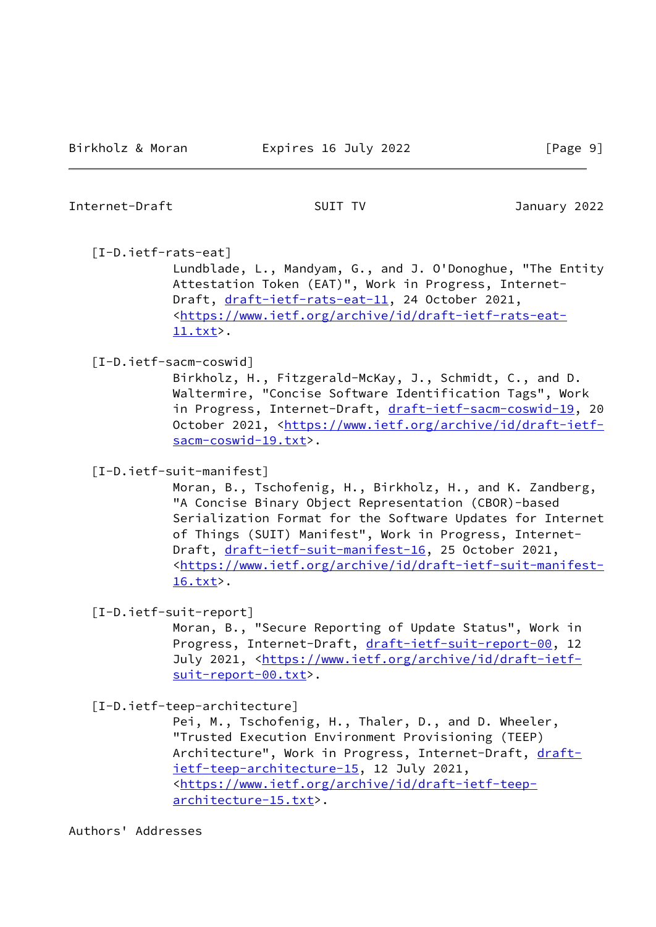## <span id="page-10-0"></span>Internet-Draft SUIT TV January 2022

## <span id="page-10-3"></span>[I-D.ietf-rats-eat]

 Lundblade, L., Mandyam, G., and J. O'Donoghue, "The Entity Attestation Token (EAT)", Work in Progress, Internet Draft, [draft-ietf-rats-eat-11](https://datatracker.ietf.org/doc/pdf/draft-ietf-rats-eat-11), 24 October 2021, <[https://www.ietf.org/archive/id/draft-ietf-rats-eat-](https://www.ietf.org/archive/id/draft-ietf-rats-eat-11.txt) [11.txt](https://www.ietf.org/archive/id/draft-ietf-rats-eat-11.txt)>.

## [I-D.ietf-sacm-coswid]

 Birkholz, H., Fitzgerald-McKay, J., Schmidt, C., and D. Waltermire, "Concise Software Identification Tags", Work in Progress, Internet-Draft, [draft-ietf-sacm-coswid-19](https://datatracker.ietf.org/doc/pdf/draft-ietf-sacm-coswid-19), 20 October 2021, [<https://www.ietf.org/archive/id/draft-ietf](https://www.ietf.org/archive/id/draft-ietf-sacm-coswid-19.txt) [sacm-coswid-19.txt>](https://www.ietf.org/archive/id/draft-ietf-sacm-coswid-19.txt).

<span id="page-10-1"></span>[I-D.ietf-suit-manifest]

 Moran, B., Tschofenig, H., Birkholz, H., and K. Zandberg, "A Concise Binary Object Representation (CBOR)-based Serialization Format for the Software Updates for Internet of Things (SUIT) Manifest", Work in Progress, Internet Draft, [draft-ietf-suit-manifest-16](https://datatracker.ietf.org/doc/pdf/draft-ietf-suit-manifest-16), 25 October 2021, <[https://www.ietf.org/archive/id/draft-ietf-suit-manifest-](https://www.ietf.org/archive/id/draft-ietf-suit-manifest-16.txt) [16.txt](https://www.ietf.org/archive/id/draft-ietf-suit-manifest-16.txt)>.

<span id="page-10-4"></span>[I-D.ietf-suit-report]

 Moran, B., "Secure Reporting of Update Status", Work in Progress, Internet-Draft, [draft-ietf-suit-report-00](https://datatracker.ietf.org/doc/pdf/draft-ietf-suit-report-00), 12 July 2021, <[https://www.ietf.org/archive/id/draft-ietf](https://www.ietf.org/archive/id/draft-ietf-suit-report-00.txt) [suit-report-00.txt>](https://www.ietf.org/archive/id/draft-ietf-suit-report-00.txt).

<span id="page-10-2"></span>[I-D.ietf-teep-architecture]

 Pei, M., Tschofenig, H., Thaler, D., and D. Wheeler, "Trusted Execution Environment Provisioning (TEEP) Architecture", Work in Progress, Internet-Draft, [draft](https://datatracker.ietf.org/doc/pdf/draft-ietf-teep-architecture-15) [ietf-teep-architecture-15,](https://datatracker.ietf.org/doc/pdf/draft-ietf-teep-architecture-15) 12 July 2021, <[https://www.ietf.org/archive/id/draft-ietf-teep](https://www.ietf.org/archive/id/draft-ietf-teep-architecture-15.txt) [architecture-15.txt](https://www.ietf.org/archive/id/draft-ietf-teep-architecture-15.txt)>.

Authors' Addresses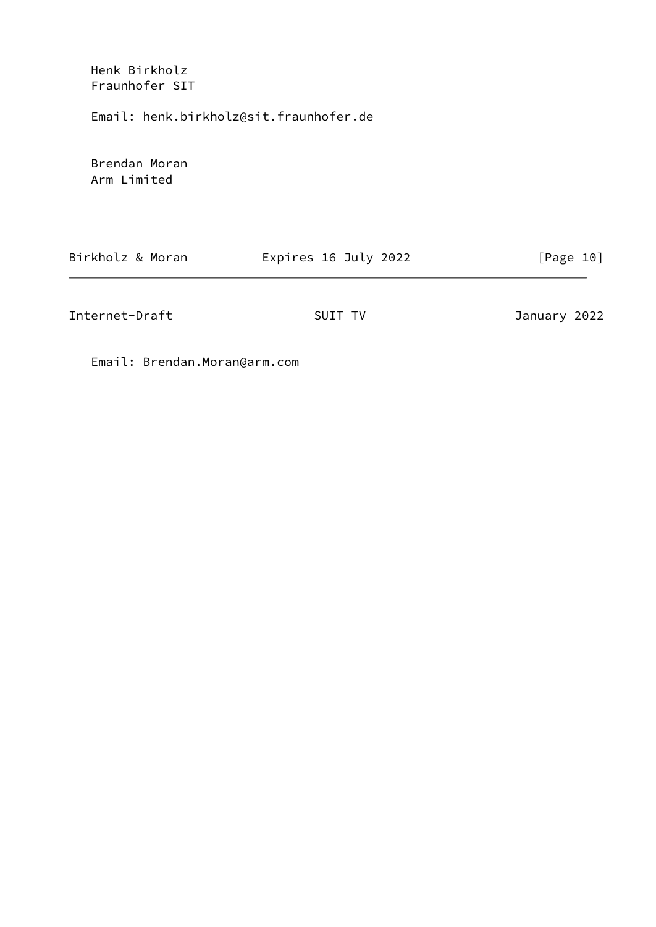Henk Birkholz Fraunhofer SIT

Email: henk.birkholz@sit.fraunhofer.de

 Brendan Moran Arm Limited

| Birkholz & Moran | Expires 16 July 2022 | [Page 10]    |
|------------------|----------------------|--------------|
|                  |                      |              |
| Internet-Draft   | SUIT TV              | January 2022 |

Email: Brendan.Moran@arm.com